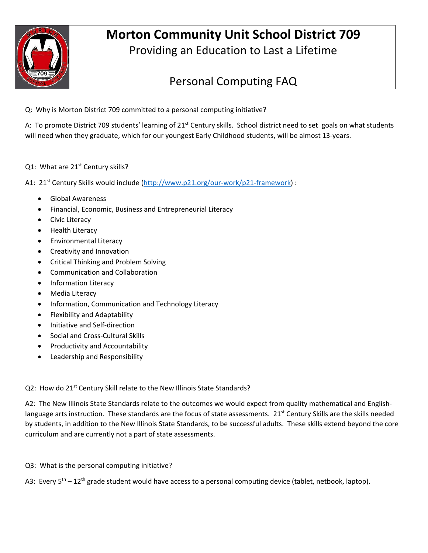

# **Morton Community Unit School District 709** Providing an Education to Last a Lifetime

# Personal Computing FAQ

Q: Why is Morton District 709 committed to a personal computing initiative?

A: To promote District 709 students' learning of 21<sup>st</sup> Century skills. School district need to set goals on what students will need when they graduate, which for our youngest Early Childhood students, will be almost 13-years.

## Q1: What are 21<sup>st</sup> Century skills?

A1: 21<sup>st</sup> Century Skills would include (http://www.p21.org/our-work/p21-framework) :

- Global Awareness
- Financial, Economic, Business and Entrepreneurial Literacy
- **•** Civic Literacy
- Health Literacy
- Environmental Literacy
- Creativity and Innovation
- Critical Thinking and Problem Solving
- Communication and Collaboration
- Information Literacy
- Media Literacy
- Information, Communication and Technology Literacy
- Flexibility and Adaptability
- Initiative and Self‐direction
- Social and Cross‐Cultural Skills
- Productivity and Accountability
- Leadership and Responsibility

### Q2: How do 21<sup>st</sup> Century Skill relate to the New Illinois State Standards?

A2: The New Illinois State Standards relate to the outcomes we would expect from quality mathematical and Englishlanguage arts instruction. These standards are the focus of state assessments. 21<sup>st</sup> Century Skills are the skills needed by students, in addition to the New Illinois State Standards, to be successful adults. These skills extend beyond the core curriculum and are currently not a part of state assessments.

Q3: What is the personal computing initiative?

A3: Every 5<sup>th</sup> – 12<sup>th</sup> grade student would have access to a personal computing device (tablet, netbook, laptop).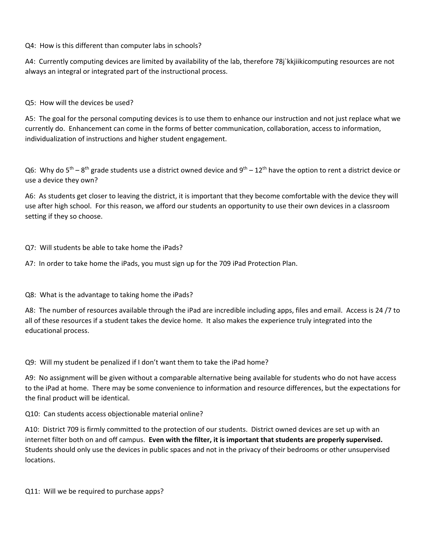Q4: How is this different than computer labs in schools?

A4: Currently computing devices are limited by availability of the lab, therefore 78j`kkjiikicomputing resources are not always an integral or integrated part of the instructional process.

Q5: How will the devices be used?

A5: The goal for the personal computing devices is to use them to enhance our instruction and not just replace what we currently do. Enhancement can come in the forms of better communication, collaboration, access to information, individualization of instructions and higher student engagement.

Q6: Why do  $5^{th}$  –  $8^{th}$  grade students use a district owned device and  $9^{th}$  – 12<sup>th</sup> have the option to rent a district device or use a device they own?

A6: As students get closer to leaving the district, it is important that they become comfortable with the device they will use after high school. For this reason, we afford our students an opportunity to use their own devices in a classroom setting if they so choose.

Q7: Will students be able to take home the iPads?

A7: In order to take home the iPads, you must sign up for the 709 iPad Protection Plan.

Q8: What is the advantage to taking home the iPads?

A8: The number of resources available through the iPad are incredible including apps, files and email. Access is 24 /7 to all of these resources if a student takes the device home. It also makes the experience truly integrated into the educational process.

Q9: Will my student be penalized if I don't want them to take the iPad home?

A9: No assignment will be given without a comparable alternative being available for students who do not have access to the iPad at home. There may be some convenience to information and resource differences, but the expectations for the final product will be identical.

Q10: Can students access objectionable material online?

A10: District 709 is firmly committed to the protection of our students. District owned devices are set up with an internet filter both on and off campus. **Even with the filter, it is important that students are properly supervised.** Students should only use the devices in public spaces and not in the privacy of their bedrooms or other unsupervised locations.

Q11: Will we be required to purchase apps?